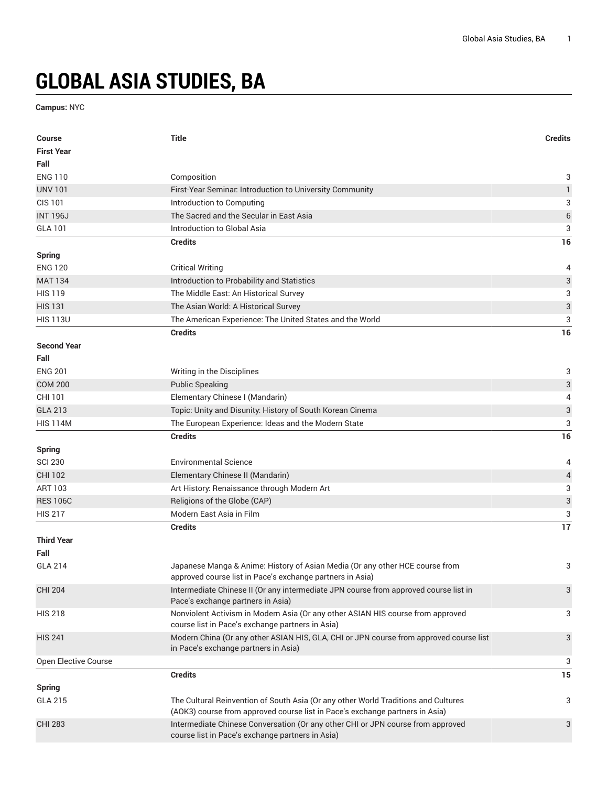## **GLOBAL ASIA STUDIES, BA**

**Campus:** NYC

| <b>Course</b><br><b>First Year</b> | <b>Title</b>                                                                                                                                                       | <b>Credits</b>            |
|------------------------------------|--------------------------------------------------------------------------------------------------------------------------------------------------------------------|---------------------------|
| Fall                               |                                                                                                                                                                    |                           |
| <b>ENG 110</b>                     | Composition                                                                                                                                                        | 3                         |
| <b>UNV 101</b>                     | First-Year Seminar. Introduction to University Community                                                                                                           | $\mathbf{1}$              |
| <b>CIS 101</b>                     | Introduction to Computing                                                                                                                                          | 3                         |
| <b>INT 196J</b>                    | The Sacred and the Secular in East Asia                                                                                                                            | $\,$ 6 $\,$               |
| <b>GLA 101</b>                     | Introduction to Global Asia                                                                                                                                        | 3                         |
|                                    | <b>Credits</b>                                                                                                                                                     | 16                        |
| <b>Spring</b>                      |                                                                                                                                                                    |                           |
| <b>ENG 120</b>                     | <b>Critical Writing</b>                                                                                                                                            | 4                         |
| <b>MAT 134</b>                     | Introduction to Probability and Statistics                                                                                                                         | 3                         |
| <b>HIS 119</b>                     | The Middle East: An Historical Survey                                                                                                                              | 3                         |
| <b>HIS 131</b>                     | The Asian World: A Historical Survey                                                                                                                               | $\sqrt{3}$                |
| <b>HIS 113U</b>                    | The American Experience: The United States and the World                                                                                                           | 3                         |
|                                    | <b>Credits</b>                                                                                                                                                     | 16                        |
| <b>Second Year</b><br>Fall         |                                                                                                                                                                    |                           |
| <b>ENG 201</b>                     | Writing in the Disciplines                                                                                                                                         | 3                         |
| <b>COM 200</b>                     | <b>Public Speaking</b>                                                                                                                                             | $\ensuremath{\mathsf{3}}$ |
| CHI 101                            | Elementary Chinese I (Mandarin)                                                                                                                                    | 4                         |
| <b>GLA 213</b>                     | Topic: Unity and Disunity: History of South Korean Cinema                                                                                                          | $\ensuremath{\mathsf{3}}$ |
| <b>HIS 114M</b>                    | The European Experience: Ideas and the Modern State                                                                                                                | 3                         |
|                                    | <b>Credits</b>                                                                                                                                                     | 16                        |
| <b>Spring</b>                      |                                                                                                                                                                    |                           |
| <b>SCI 230</b>                     | <b>Environmental Science</b>                                                                                                                                       | 4                         |
| <b>CHI 102</b>                     | Elementary Chinese II (Mandarin)                                                                                                                                   | $\overline{\mathcal{L}}$  |
| <b>ART 103</b>                     | Art History: Renaissance through Modern Art                                                                                                                        | 3                         |
| <b>RES 106C</b>                    | Religions of the Globe (CAP)                                                                                                                                       | 3                         |
| <b>HIS 217</b>                     | Modern East Asia in Film                                                                                                                                           | 3                         |
|                                    | <b>Credits</b>                                                                                                                                                     | 17                        |
| <b>Third Year</b>                  |                                                                                                                                                                    |                           |
| Fall                               |                                                                                                                                                                    |                           |
| <b>GLA 214</b>                     | Japanese Manga & Anime: History of Asian Media (Or any other HCE course from<br>approved course list in Pace's exchange partners in Asia)                          | 3                         |
| <b>CHI 204</b>                     | Intermediate Chinese II (Or any intermediate JPN course from approved course list in<br>Pace's exchange partners in Asia)                                          | 3                         |
| <b>HIS 218</b>                     | Nonviolent Activism in Modern Asia (Or any other ASIAN HIS course from approved<br>course list in Pace's exchange partners in Asia)                                | 3                         |
| <b>HIS 241</b>                     | Modern China (Or any other ASIAN HIS, GLA, CHI or JPN course from approved course list<br>in Pace's exchange partners in Asia)                                     | 3                         |
| Open Elective Course               |                                                                                                                                                                    | 3                         |
|                                    | <b>Credits</b>                                                                                                                                                     | 15                        |
| <b>Spring</b>                      |                                                                                                                                                                    |                           |
| <b>GLA 215</b>                     | The Cultural Reinvention of South Asia (Or any other World Traditions and Cultures<br>(AOK3) course from approved course list in Pace's exchange partners in Asia) | 3                         |
| <b>CHI 283</b>                     | Intermediate Chinese Conversation (Or any other CHI or JPN course from approved<br>course list in Pace's exchange partners in Asia)                                | 3                         |